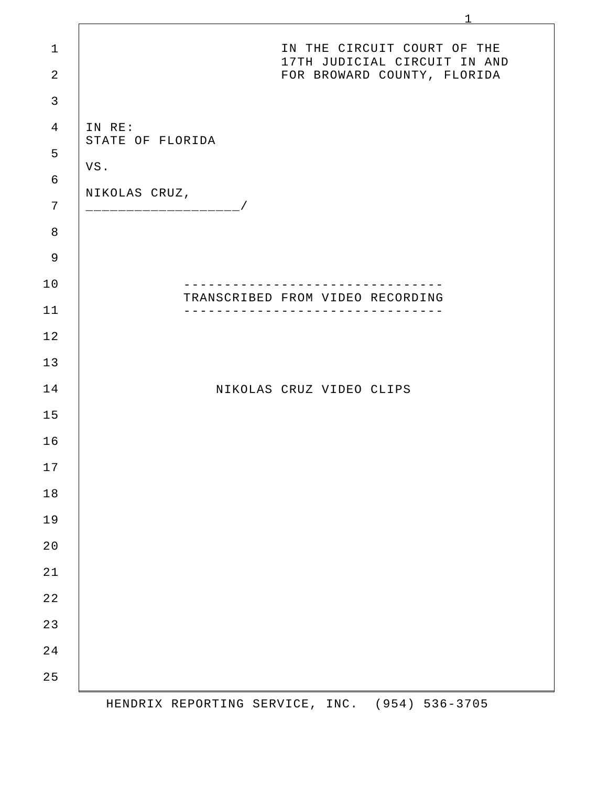| $\mathbf 1$    | IN THE CIRCUIT COURT OF THE                                            |
|----------------|------------------------------------------------------------------------|
| $\overline{2}$ | 17TH JUDICIAL CIRCUIT IN AND<br>FOR BROWARD COUNTY, FLORIDA            |
| $\mathfrak{Z}$ |                                                                        |
| $\overline{4}$ | IN RE:                                                                 |
| 5              | STATE OF FLORIDA                                                       |
| 6              | VS.                                                                    |
| $7\phantom{.}$ | NIKOLAS CRUZ,<br>----------------------/                               |
| $\, 8$         |                                                                        |
| $\mathsf 9$    |                                                                        |
| 10             | - - - - - - - - - - - - - -                                            |
| 11             | TRANSCRIBED FROM VIDEO RECORDING<br>---------------------------------- |
| 12             |                                                                        |
| 13             |                                                                        |
| 14             | NIKOLAS CRUZ VIDEO CLIPS                                               |
| 15             |                                                                        |
| 16             |                                                                        |
| 17             |                                                                        |
| $1\,8$         |                                                                        |
| 19             |                                                                        |
| $2\,0$         |                                                                        |
| $2\sqrt{1}$    |                                                                        |
| $2\,2$         |                                                                        |
| $2\sqrt{3}$    |                                                                        |
| 24             |                                                                        |
| 25             |                                                                        |

HENDRIX REPORTING SERVICE, INC. (954) 536-3705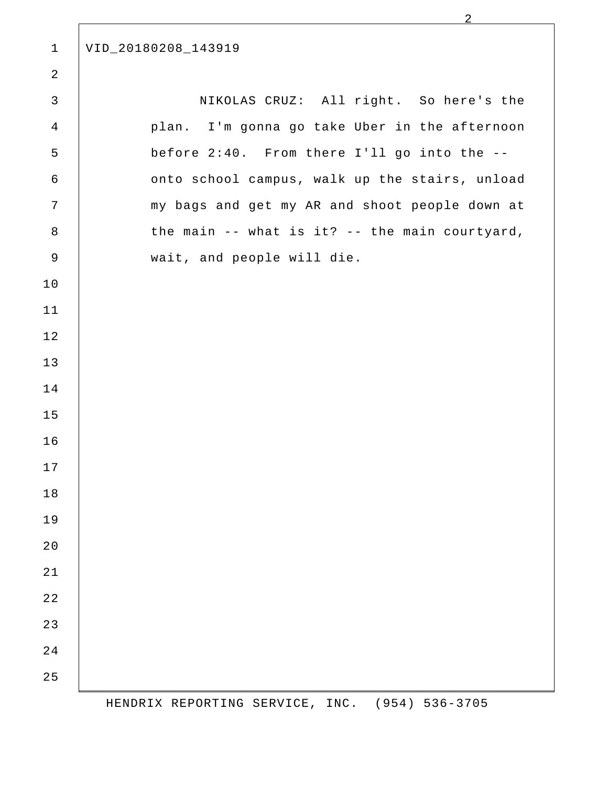VID\_20180208\_143919 

NIKOLAS CRUZ: All right. So here's the plan. I'm gonna go take Uber in the afternoon before 2:40. From there I'll go into the - onto school campus, walk up the stairs, unload my bags and get my AR and shoot people down at the main -- what is it? -- the main courtyard, wait, and people will die. 

HENDRIX REPORTING SERVICE, INC. (954) 536-3705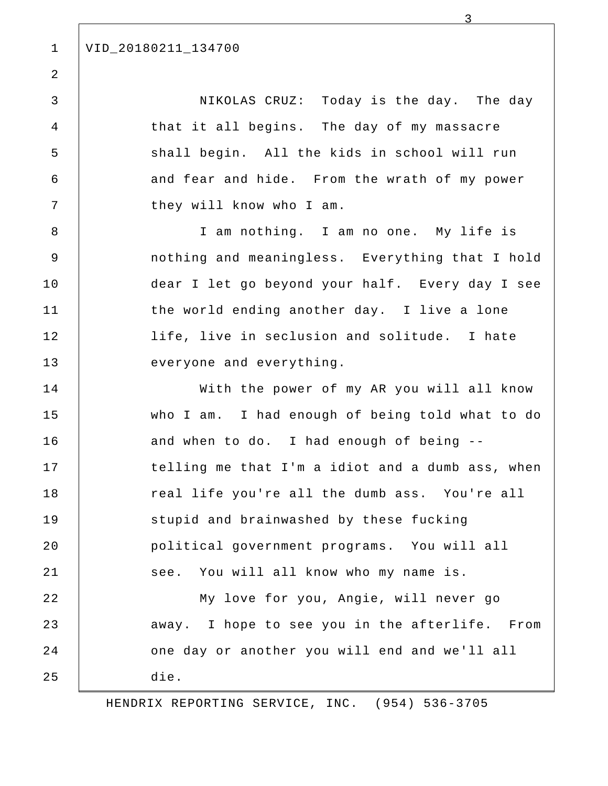## VID\_20180211\_134700

NIKOLAS CRUZ: Today is the day. The day that it all begins. The day of my massacre shall begin. All the kids in school will run and fear and hide. From the wrath of my power they will know who I am.

3

I am nothing. I am no one. My life is nothing and meaningless. Everything that I hold dear I let go beyond your half. Every day I see the world ending another day. I live a lone life, live in seclusion and solitude. I hate everyone and everything.

With the power of my AR you will all know who I am. I had enough of being told what to do and when to do. I had enough of being - telling me that I'm a idiot and a dumb ass, when real life you're all the dumb ass. You're all stupid and brainwashed by these fucking political government programs. You will all see. You will all know who my name is.

My love for you, Angie, will never go away. I hope to see you in the afterlife. From one day or another you will end and we'll all die. 22 23 24 25

HENDRIX REPORTING SERVICE, INC. (954) 536-3705

1

2

3

4

5

6

7

8

9

10

11

12

13

14

15

16

17

18

19

20

21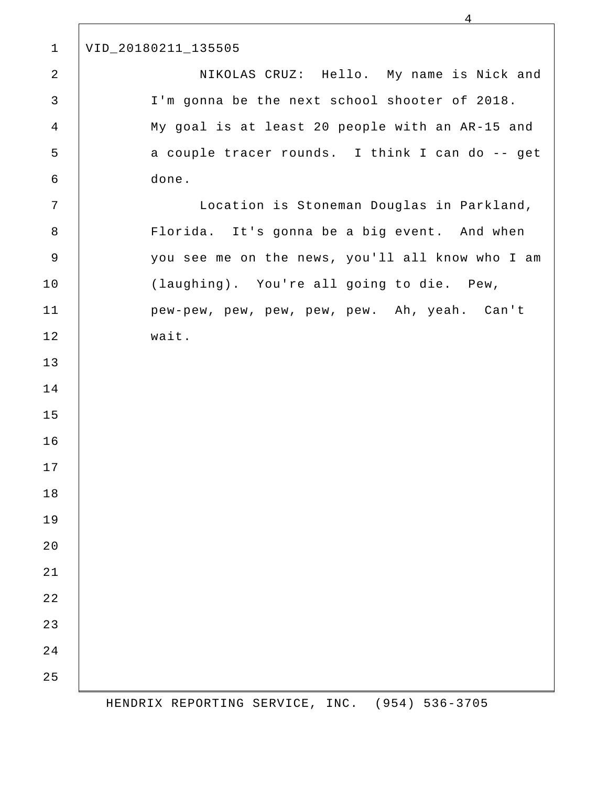| $\mathbf{1}$   | VID_20180211_135505                              |
|----------------|--------------------------------------------------|
| $\sqrt{2}$     | NIKOLAS CRUZ: Hello. My name is Nick and         |
| $\mathsf{3}$   | I'm gonna be the next school shooter of 2018.    |
| $\overline{4}$ | My goal is at least 20 people with an AR-15 and  |
| 5              | a couple tracer rounds. I think I can do -- get  |
| 6              | done.                                            |
| 7              | Location is Stoneman Douglas in Parkland,        |
| $\,8\,$        | Florida. It's gonna be a big event. And when     |
| $\mathsf 9$    | you see me on the news, you'll all know who I am |
| 10             | (laughing). You're all going to die. Pew,        |
| 11             | pew-pew, pew, pew, pew, pew. Ah, yeah. Can't     |
| 12             | wait.                                            |
| 13             |                                                  |
| 14             |                                                  |
| 15             |                                                  |
| 16             |                                                  |
| 17             |                                                  |
| 18             |                                                  |
| 19             |                                                  |
| 20             |                                                  |
| 21             |                                                  |
| 22             |                                                  |
| 23             |                                                  |
| 24             |                                                  |
| 25             |                                                  |

 $\Gamma$ 

HENDRIX REPORTING SERVICE, INC. (954) 536-3705